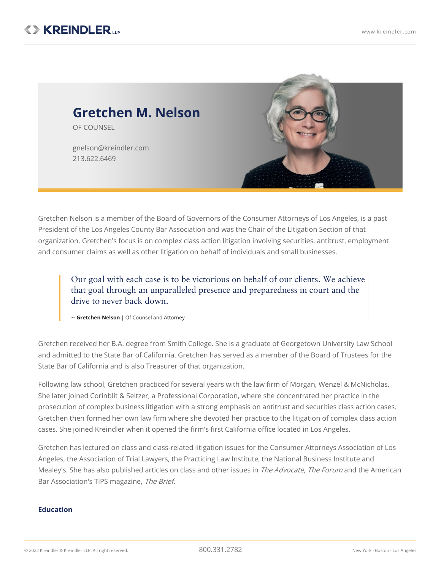

Gretchen Nelson is a member of the Board of Governors of the Consumer Attorneys of Los Angeles, is a past President of the Los Angeles County Bar Association and was the Chair of the Litigation Section of that organization. Gretchen's focus is on complex class action litigation involving securities, antitrust, employment and consumer claims as well as other litigation on behalf of individuals and small businesses.

Our goal with each case is to be victorious on behalf of our clients. We achieve that goal through an unparalleled presence and preparedness in court and the drive to never back down.

~ **Gretchen Nelson** | Of Counsel and Attorney

Gretchen received her B.A. degree from Smith College. She is a graduate of Georgetown University Law School and admitted to the State Bar of California. Gretchen has served as a member of the Board of Trustees for the State Bar of California and is also Treasurer of that organization.

Following law school, Gretchen practiced for several years with the law firm of Morgan, Wenzel & McNicholas. She later joined Corinblit & Seltzer, a Professional Corporation, where she concentrated her practice in the prosecution of complex business litigation with a strong emphasis on antitrust and securities class action cases. Gretchen then formed her own law firm where she devoted her practice to the litigation of complex class action cases. She joined Kreindler when it opened the firm's first California office located in Los [Angeles](https://www.kreindler.com/locations/los-angeles).

Gretchen has lectured on class and class-related litigation issues for the Consumer Attorneys Association of Los Angeles, the Association of Trial Lawyers, the Practicing Law Institute, the National Business Institute and Mealey's. She has also published articles on class and other issues in The Advocate, The Forum and the American Bar Association's TIPS magazine, The Brief.

## **Education**

© <sup>2022</sup> Kreindler & Kreindler LLP. All right reserved. 800.331.2782 New York · Boston · Los Angeles